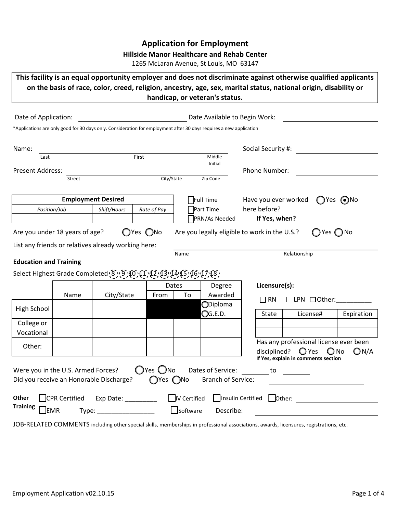# **Application for Employment**

## **Hillside Manor Healthcare and Rehab Center**

1265 McLaran Avenue, St Louis, MO 63147

**This facility is an equal opportunity employer and does not discriminate against otherwise qualified applicants on the basis of race, color, creed, religion, ancestry, age, sex, marital status, national origin, disability or handicap, or veteran's status.**

| Date of Application:                   |               |                                                                                       |                                          |                          | Date Available to Begin Work:                                                                                       |                                               |                |                                     |                                                |
|----------------------------------------|---------------|---------------------------------------------------------------------------------------|------------------------------------------|--------------------------|---------------------------------------------------------------------------------------------------------------------|-----------------------------------------------|----------------|-------------------------------------|------------------------------------------------|
|                                        |               |                                                                                       |                                          |                          | *Applications are only good for 30 days only. Consideration for employment after 30 days requires a new application |                                               |                |                                     |                                                |
| Name:                                  |               |                                                                                       |                                          |                          |                                                                                                                     | Social Security #:                            |                |                                     |                                                |
| Last                                   |               |                                                                                       | First                                    |                          | Middle<br>Initial                                                                                                   |                                               |                |                                     |                                                |
| <b>Present Address:</b>                |               |                                                                                       |                                          |                          |                                                                                                                     | Phone Number:                                 |                |                                     |                                                |
|                                        | Street        |                                                                                       | City/State                               |                          | Zip Code                                                                                                            |                                               |                |                                     |                                                |
|                                        |               | <b>Employment Desired</b>                                                             |                                          |                          | Full Time                                                                                                           | Have you ever worked                          |                | $\bigcirc$ Yes $\bigcirc$ No        |                                                |
| Position/Job                           |               | Shift/Hours                                                                           | Rate of Pay                              |                          | Part Time                                                                                                           | here before?                                  |                |                                     |                                                |
|                                        |               |                                                                                       |                                          |                          | <b>PRN/As Needed</b>                                                                                                | If Yes, when?                                 |                |                                     |                                                |
| Are you under 18 years of age?         |               |                                                                                       | $O$ Yes $O$ No                           |                          |                                                                                                                     | Are you legally eligible to work in the U.S.? |                | Yes no                              |                                                |
|                                        |               | List any friends or relatives already working here:                                   |                                          |                          |                                                                                                                     |                                               |                |                                     |                                                |
|                                        |               |                                                                                       |                                          | Name                     |                                                                                                                     |                                               | Relationship   |                                     |                                                |
| <b>Education and Training</b>          |               |                                                                                       |                                          |                          |                                                                                                                     |                                               |                |                                     |                                                |
|                                        |               | Select Highest Grade Completed (8 ) (9 ) (0 ) (1 ) (2 ) (3 ) (1 ) (5 ) (6 ) (1 ) (8 ) |                                          |                          |                                                                                                                     |                                               |                |                                     |                                                |
|                                        |               |                                                                                       |                                          | Dates                    | Degree                                                                                                              | Licensure(s):                                 |                |                                     |                                                |
|                                        | Name          | City/State                                                                            | From                                     | To                       | Awarded                                                                                                             | $\Box$ RN                                     |                |                                     | $\Box$ LPN $\Box$ Other:                       |
| High School                            |               |                                                                                       |                                          |                          | ODiploma                                                                                                            |                                               |                |                                     |                                                |
|                                        |               |                                                                                       |                                          |                          | $\mathbb{O}$ G.E.D.                                                                                                 | State                                         |                | License#                            | Expiration                                     |
| College or<br>Vocational               |               |                                                                                       |                                          |                          |                                                                                                                     |                                               |                |                                     |                                                |
| Other:                                 |               |                                                                                       |                                          |                          |                                                                                                                     | disciplined?                                  | $\bigcirc$ Yes | $\bigcirc$ No                       | Has any professional license ever been<br>ON/A |
| Were you in the U.S. Armed Forces?     |               | Did you receive an Honorable Discharge?                                               | $\bigcirc$ Yes $\bigcirc$ No<br>∩Yes ∩No |                          | Dates of Service:<br><b>Branch of Service:</b>                                                                      | to                                            |                | If Yes, explain in comments section |                                                |
| Other<br><b>Training</b><br><b>EMR</b> | CPR Certified | Exp Date:<br>Type:                                                                    |                                          | IV Certified<br>Software | Insulin Certified<br>Describe:                                                                                      | Other:                                        |                |                                     |                                                |

JOB-RELATED COMMENTS including other special skills, memberships in professional associations, awards, licensures, registrations, etc.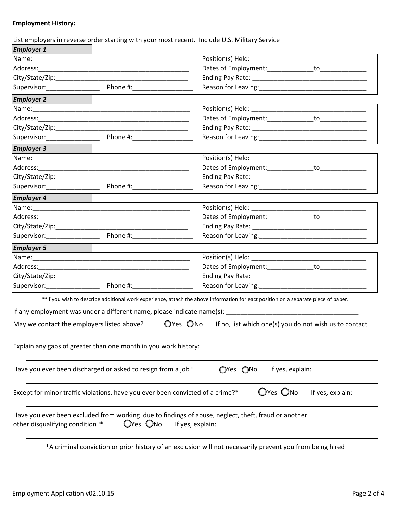## **Employment History:**

|  | List employers in reverse order starting with your most recent. Include U.S. Military Service |  |
|--|-----------------------------------------------------------------------------------------------|--|
|--|-----------------------------------------------------------------------------------------------|--|

| <b>Employer 1</b>                                                      |                                                                                                                 |                                                                                                                                    |  |
|------------------------------------------------------------------------|-----------------------------------------------------------------------------------------------------------------|------------------------------------------------------------------------------------------------------------------------------------|--|
|                                                                        |                                                                                                                 |                                                                                                                                    |  |
|                                                                        |                                                                                                                 |                                                                                                                                    |  |
|                                                                        |                                                                                                                 |                                                                                                                                    |  |
|                                                                        |                                                                                                                 |                                                                                                                                    |  |
| <b>Employer 2</b>                                                      |                                                                                                                 |                                                                                                                                    |  |
|                                                                        |                                                                                                                 |                                                                                                                                    |  |
|                                                                        |                                                                                                                 |                                                                                                                                    |  |
| City/State/Zip: www.astronomia.com/                                    |                                                                                                                 |                                                                                                                                    |  |
| Supervisor: Annual Supervisor:                                         | Phone #:                                                                                                        |                                                                                                                                    |  |
| <b>Employer 3</b>                                                      |                                                                                                                 |                                                                                                                                    |  |
|                                                                        |                                                                                                                 | Position(s) Held: __________________                                                                                               |  |
|                                                                        |                                                                                                                 |                                                                                                                                    |  |
|                                                                        |                                                                                                                 |                                                                                                                                    |  |
|                                                                        |                                                                                                                 |                                                                                                                                    |  |
| <b>Employer 4</b>                                                      |                                                                                                                 |                                                                                                                                    |  |
|                                                                        |                                                                                                                 |                                                                                                                                    |  |
|                                                                        |                                                                                                                 |                                                                                                                                    |  |
|                                                                        |                                                                                                                 |                                                                                                                                    |  |
| Supervisor: Phone #:                                                   |                                                                                                                 | Reason for Leaving: National Property of the Contract of the Contract of the Contract of the Contract of the Co                    |  |
| <b>Employer 5</b>                                                      |                                                                                                                 |                                                                                                                                    |  |
|                                                                        |                                                                                                                 |                                                                                                                                    |  |
|                                                                        |                                                                                                                 |                                                                                                                                    |  |
|                                                                        |                                                                                                                 |                                                                                                                                    |  |
|                                                                        | Reason for Leaving: National Property of the Contract of the Contract of the Contract of the Contract of the Co |                                                                                                                                    |  |
|                                                                        |                                                                                                                 | **If you wish to describe additional work experience, attach the above information for eact position on a separate piece of paper. |  |
| If any employment was under a different name, please indicate name(s): |                                                                                                                 | <u> 1989 - Johann Barnett, fransk politiker</u>                                                                                    |  |
| May we contact the employers listed above?                             |                                                                                                                 | OYes ONo<br>If no, list which one(s) you do not wish us to contact                                                                 |  |
| Explain any gaps of greater than one month in you work history:        |                                                                                                                 |                                                                                                                                    |  |
| Have you ever been discharged or asked to resign from a job?           |                                                                                                                 | If yes, explain:<br>OYes ONo                                                                                                       |  |
|                                                                        |                                                                                                                 | OYes ONo<br>Except for minor traffic violations, have you ever been convicted of a crime?*<br>If yes, explain:                     |  |
| other disqualifying condition?*                                        | OYes ONo                                                                                                        | Have you ever been excluded from working due to findings of abuse, neglect, theft, fraud or another<br>If yes, explain:            |  |

\*A criminal conviction or prior history of an exclusion will not necessarily prevent you from being hired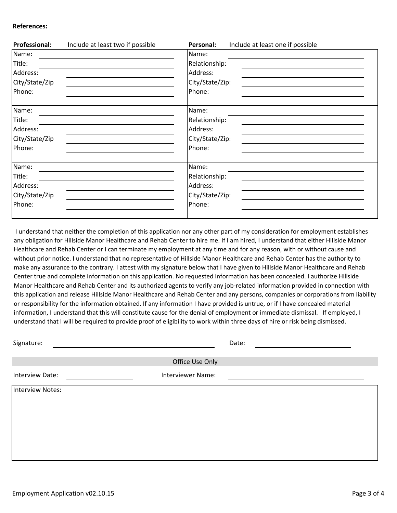#### **References:**

| <b>Professional:</b> | Include at least two if possible | Include at least one if possible<br>Personal: |
|----------------------|----------------------------------|-----------------------------------------------|
| Name:                |                                  | Name:                                         |
| Title:               |                                  | Relationship:                                 |
| Address:             |                                  | Address:                                      |
| City/State/Zip       |                                  | City/State/Zip:                               |
| Phone:               |                                  | Phone:                                        |
| Name:                |                                  | Name:                                         |
| Title:               |                                  | Relationship:                                 |
| Address:             |                                  | Address:                                      |
| City/State/Zip       |                                  | City/State/Zip:                               |
| Phone:               |                                  | Phone:                                        |
| Name:                |                                  | Name:                                         |
| Title:               |                                  | Relationship:                                 |
| Address:             |                                  | Address:                                      |
| City/State/Zip       |                                  | City/State/Zip:                               |
| Phone:               |                                  | Phone:                                        |
|                      |                                  |                                               |

 I understand that neither the completion of this application nor any other part of my consideration for employment establishes any obligation for Hillside Manor Healthcare and Rehab Center to hire me. If I am hired, I understand that either Hillside Manor Healthcare and Rehab Center or I can terminate my employment at any time and for any reason, with or without cause and without prior notice. I understand that no representative of Hillside Manor Healthcare and Rehab Center has the authority to make any assurance to the contrary. I attest with my signature below that I have given to Hillside Manor Healthcare and Rehab Center true and complete information on this application. No requested information has been concealed. I authorize Hillside Manor Healthcare and Rehab Center and its authorized agents to verify any job-related information provided in connection with this application and release Hillside Manor Healthcare and Rehab Center and any persons, companies or corporations from liability or responsibility for the information obtained. If any information I have provided is untrue, or if I have concealed material information, I understand that this will constitute cause for the denial of employment or immediate dismissal. If employed, I understand that I will be required to provide proof of eligibility to work within three days of hire or risk being dismissed.

| Signature:       |                          | Date: |
|------------------|--------------------------|-------|
|                  | Office Use Only          |       |
| Interview Date:  | <b>Interviewer Name:</b> |       |
| Interview Notes: |                          |       |
|                  |                          |       |
|                  |                          |       |
|                  |                          |       |
|                  |                          |       |